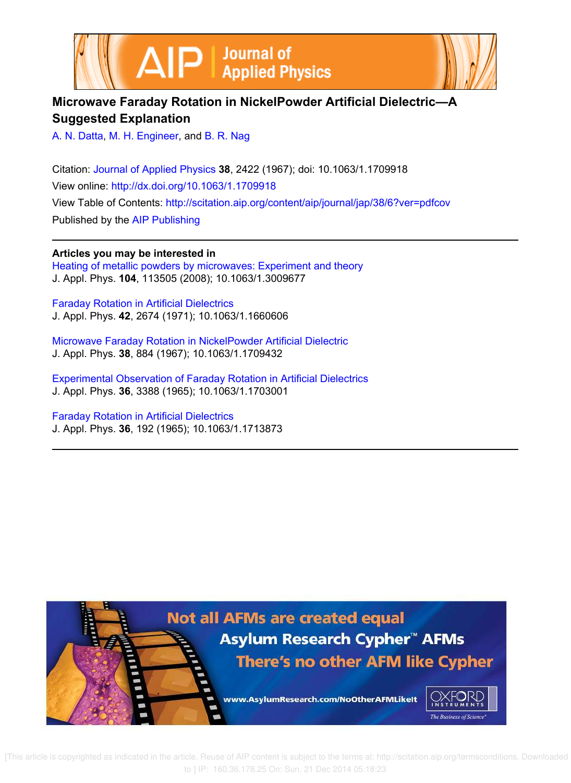



# **Microwave Faraday Rotation in NickelPowder Artificial Dielectric—A Suggested Explanation**

A. N. Datta, M. H. Engineer, and B. R. Nag

Citation: Journal of Applied Physics **38**, 2422 (1967); doi: 10.1063/1.1709918 View online: http://dx.doi.org/10.1063/1.1709918 View Table of Contents: http://scitation.aip.org/content/aip/journal/jap/38/6?ver=pdfcov Published by the AIP Publishing

**Articles you may be interested in**

Heating of metallic powders by microwaves: Experiment and theory J. Appl. Phys. **104**, 113505 (2008); 10.1063/1.3009677

Faraday Rotation in Artificial Dielectrics J. Appl. Phys. **42**, 2674 (1971); 10.1063/1.1660606

Microwave Faraday Rotation in NickelPowder Artificial Dielectric J. Appl. Phys. **38**, 884 (1967); 10.1063/1.1709432

Experimental Observation of Faraday Rotation in Artificial Dielectrics J. Appl. Phys. **36**, 3388 (1965); 10.1063/1.1703001

Faraday Rotation in Artificial Dielectrics J. Appl. Phys. **36**, 192 (1965); 10.1063/1.1713873



 [This article is copyrighted as indicated in the article. Reuse of AIP content is subject to the terms at: http://scitation.aip.org/termsconditions. Downloaded to ] IP: 160.36.178.25 On: Sun, 21 Dec 2014 05:18:23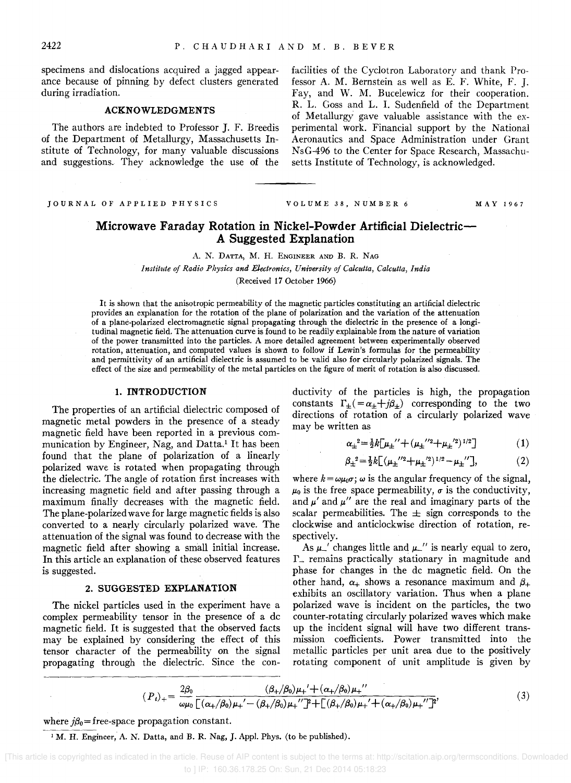specimens and dislocations acquired a jagged appearance because of pinning. by defect clusters generated during irradiation.

#### ACKNOWLEDGMENTS

The authors are indebted to Professor J. F. Breedis of the Department of Metallurgy, Massachusetts Institute of Technology, for many valuable discussions and suggestions. They acknowledge the use of the

JOURNAL OF APPLIED PHYSICS

facilities of the Cyclotron Laboratory and thank Professor A. M. Bernstein as well as E. F. White, F. J. Fay, and W. M. Bucelewicz for their cooperation. R. L. Goss and L. 1. Sudenfield of the Department of Metallurgy gave valuable assistance with the experimental work. Financial support by the National Aeronautics and Space Administration under Grant NsG-496 to the Center for Space Research, Massachusetts Institute of Technology, is acknowledged.

VOLUME 38, NUMBER 6 MAY 1967

# Microwave Faraday Rotation in Nickel-Powder Artificial Dielectric-A Suggested Explanation

A. N. DATTA, M. H. ENGINEER AND B. R. NAG

*Institute of Radio Physics and Electronics, University of Calcutta, Calcutta, India*  (Received 17 October 1966)

It is shown that the anisotropic permeability of the magnetic particles constituting an artificial dielectric provides an explanation for the rotation of the plane of polarization and the variation of the attenuation of a plane-polarized electromagnetic signal propagating through the dielectric in the presence of a longitudinal magnetic field. The attenuation curve is found to be readily explainable from the nature of variation of the power transmitted into the particles. A more detailed agreement between experimentally observed rotation, attenuation, and computed values is shown to follow if Lewin's formulas for the permeability and permittivity of an artificial dielectric is assumed to be valid also for circularly polarized signals. The effect of the size and permeability of the metal particles on the figure of merit of rotation is also discussed.

#### 1. INTRODUCTION

The properties of an artificial dielectric composed of magnetic metal powders in the presence of a steady magnetic field have been reported in a previous communication by Engineer, Nag, and Datta.<sup>1</sup> It has been found that the plane of polarization of a linearly polarized wave is rotated when propagating through the dielectric. The angle of rotation first increases with increasing magnetic field and after passing through a maximum finally decreases with the magnetic field. The plane-polarized wave for large magnetic fields is also converted to a nearly circularly polarized wave. The attenuation of the signal was found to decrease with the magnetic field after showing a small initial increase. In this article an explanation of these observed features is suggested.

# 2. SUGGESTED EXPLANATION

The nickel particles used in the experiment have a complex permeability tensor in the presence of a dc magnetic field. It is suggested that the observed facts may be explained by considering the effect of this tensor character of the permeability on the signal propagating through the dielectric. Since the conductivity of the particles is high, the propagation constants  $\Gamma_{\pm}$  (= $\alpha_{\pm}$ + *j* $\beta_{\pm}$ ) corresponding to the two directions of rotation of a circularly polarized wave may be written as

$$
\alpha_{\pm}^{2} = \frac{1}{2}k[\mu_{\pm}^{\prime\prime} + (\mu_{\pm}^{\prime\prime 2} + \mu_{\pm}^{\prime 2})^{1/2}] \tag{1}
$$

$$
\beta_{\pm}^{2} = \frac{1}{2}k \left[ (\mu_{\pm}^{\'\prime 2} + \mu_{\pm}^{\'\prime 2})^{1/2} - \mu_{\pm}^{\'\prime 2} \right],
$$
 (2)

where  $k = \omega \mu_0 \sigma$ ;  $\omega$  is the angular frequency of the signal,  $\mu_0$  is the free space permeability,  $\sigma$  is the conductivity, and  $\mu'$  and  $\mu''$  are the real and imaginary parts of the scalar permeabilities. The  $\pm$  sign corresponds to the clockwise and anticlockwise direction of rotation, respectively.

As  $\mu$ <sup>'</sup> changes little and  $\mu$ <sup>'</sup> is nearly equal to zero,  $\Gamma$  remains practically stationary in magnitude and phase for changes in the dc magnetic field. On the other hand,  $\alpha_+$  shows a resonance maximum and  $\beta_+$ exhibits an oscillatory variation. Thus when a plane polarized wave is incident on the particles, the two counter-rotating circularly polarized waves which make up the incident signal will have two different transmission coefficients. Power transmitted into the metallic particles per unit area due to the positively rotating component of unit amplitude is given by

$$
(P_t)_+ = \frac{2\beta_0}{\omega\mu_0} \frac{(\beta_+/\beta_0)\mu_+ + (\alpha_+/\beta_0)\mu_+'}{[(\alpha_+/\beta_0)\mu_+ - (\beta_+/\beta_0)\mu_+']^2 + [(\beta_+/\beta_0)\mu_+ + (\alpha_+/\beta_0)\mu_+']^2'}
$$
(3)

where  $j\beta_0$ = free-space propagation constant.

<sup>1</sup> M. H. Engineer, A. N. Datta, and B. R. Nag, J. Appl. Phys. (to be published).

 <sup>[</sup>This article is copyrighted as indicated in the article. Reuse of AIP content is subject to the terms at: http://scitation.aip.org/termsconditions. Downloaded to ] IP: 160.36.178.25 On: Sun, 21 Dec 2014 05:18:23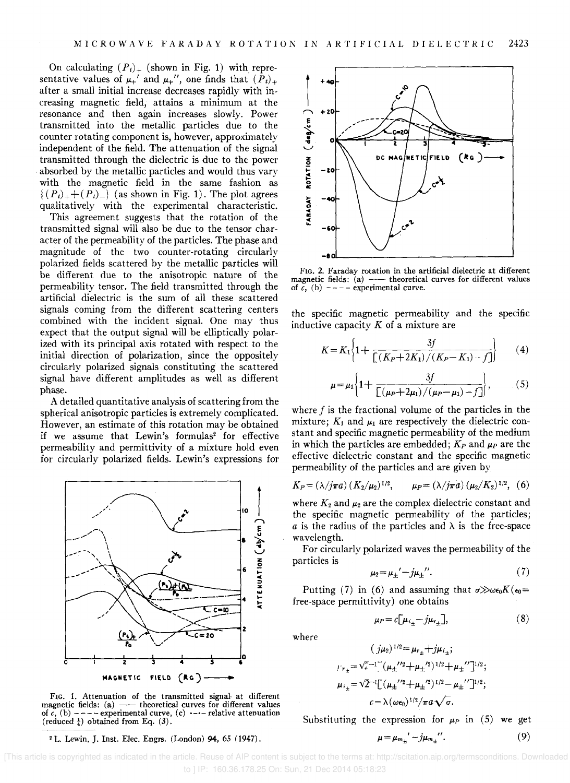On calculating  $(P_t)_+$  (shown in Fig. 1) with representative values of  $\mu_+$ ' and  $\mu_+$ '', one finds that  $(P_t)_+$ after a small initial increase decreases rapidly with increasing magnetic field, attains a minimum at the resonance and then again increases slowly. Power transmitted into the metallic particles due to the counter rotating component is, however, approximately independent of the field. The attenuation of the signal transmitted through the dielectric is due to the power absorbed by the metallic particles and would thus vary with the magnetic field in the same fashion as  $\{(P_t)_++(P_t)_-\}$  (as shown in Fig. 1). The plot agrees qualitatively with the experimental characteristic.

This agreement suggests that the rotation of the transmitted signal will also be due to the tensor character of the permeability of the particles. The phase and magnitude of the two counter-rotating circularly polarized fields scattered by the metallic particles will be different due to the anisotropic nature of the permeability tensor. The field transmitted through the artificial dielectric is the sum of all these scattered signals coming from the different scattering centers combined with the incident signal. One may thus expect that the output signal will be elliptically polarized with its principal axis rotated with respect to the initial direction of polarization, since the oppositely circularly polarized signals constituting the scattered signal have different amplitudes as well as different phase.

A detailed quantitative analysis of scattering from the spherical anisotropic particles is extremely complicated. However, an estimate of this rotation may be obtained if we assume that Lewin's formulas<sup>2</sup> for effective permeability and permittivity of a mixture hold even for circularly polarized fields. Lewin's expressions for



FIG. 1. Attenuation of the transmitted signal- at different FIG. 1. Attenuation of the transmitted signal at different values magnetic fields: (a)  $-$ - theoretical curves for different values of  $c$ , (b)  $-$ -  $-$  experimental curve, (c)  $-$ -- relative attenuation (reduced  $\frac{1}{4}$ ) obtained from Eq. (3).

<sup>2</sup> L. Lewin, J. Inst. Elec. Engrs. (London) 94, 65 (1947).



FIG. 2. Faraday rotation in the artificial dielectric at different magnetic fields:  $(a)$  --- theoretical curves for different values of  $c$ , (b)  $---$  experimental curve.

the specific magnetic permeability and the specific inductive capacity *K* of a mixture are

$$
K = K_1 \left\{ 1 + \frac{3f}{\left[ \left( K_P + 2K_1 \right) / \left( K_P - K_1 \right) \cdots f \right]} \right\}
$$
 (4)

$$
\mu = \mu_1 \bigg\{ 1 + \frac{3f}{\left[ (\mu_P + 2\mu_1) / (\mu_P - \mu_1) - f \right]} \bigg\}, \qquad (5)
$$

where  $f$  is the fractional volume of the particles in the mixture;  $K_1$  and  $\mu_1$  are respectively the dielectric constant and specific magnetic permeability of the medium in which the particles are embedded;  $K_P$  and  $\mu_P$  are the effective dielectric constant and the specific magnetic permeability of the particles and are given by

$$
K_P = (\lambda / j\pi a) (K_2 / \mu_2)^{1/2}, \qquad \mu_P = (\lambda / j\pi a) (\mu_2 / K_2)^{1/2}, \quad (6)
$$

where  $K_2$  and  $\mu_2$  are the complex dielectric constant and the specific magnetic permeability of the particles; a is the radius of the particles and  $\lambda$  is the free-space wavelength.

For circularly polarized waves the permeability of the particles is

$$
\mu_2 = \mu_{\pm}' - j\mu_{\pm}''.
$$
 (7)

Putting (7) in (6) and assuming that  $\sigma \gg \omega \epsilon_0 K(\epsilon_0=$ free-space permittivity) one obtains

$$
\mu_P = c \big[ \mu_{i_{\pm}} - j \mu_{r_{\pm}} \big],\tag{8}
$$

where

$$
(j\mu_2)^{1/2} = \mu_{r_{\pm}} + j\mu_{i_{\pm}};
$$
  
\n
$$
\mu_{r_{\pm}} = \sqrt{2}^{-1} [(\mu_{\pm}^{1/2} + \mu_{\pm}^{2})^{1/2} + \mu_{\pm}^{1/2}]^{1/2};
$$
  
\n
$$
\mu_{i_{\pm}} = \sqrt{2}^{-1} [(\mu_{\pm}^{1/2} + \mu_{\pm}^{2})^{1/2} - \mu_{\pm}^{1/2}]^{1/2};
$$
  
\n
$$
c = \lambda (\omega \epsilon_0)^{1/2} / \pi a \sqrt{\sigma}.
$$

Substituting the expression for  $\mu_P$  in (5) we get  $\mu = \mu_{m_{\pm}}' - j\mu_{m_{\pm}}''$ . (9)

 [This article is copyrighted as indicated in the article. Reuse of AIP content is subject to the terms at: http://scitation.aip.org/termsconditions. Downloaded to ] IP: 160.36.178.25 On: Sun, 21 Dec 2014 05:18:23